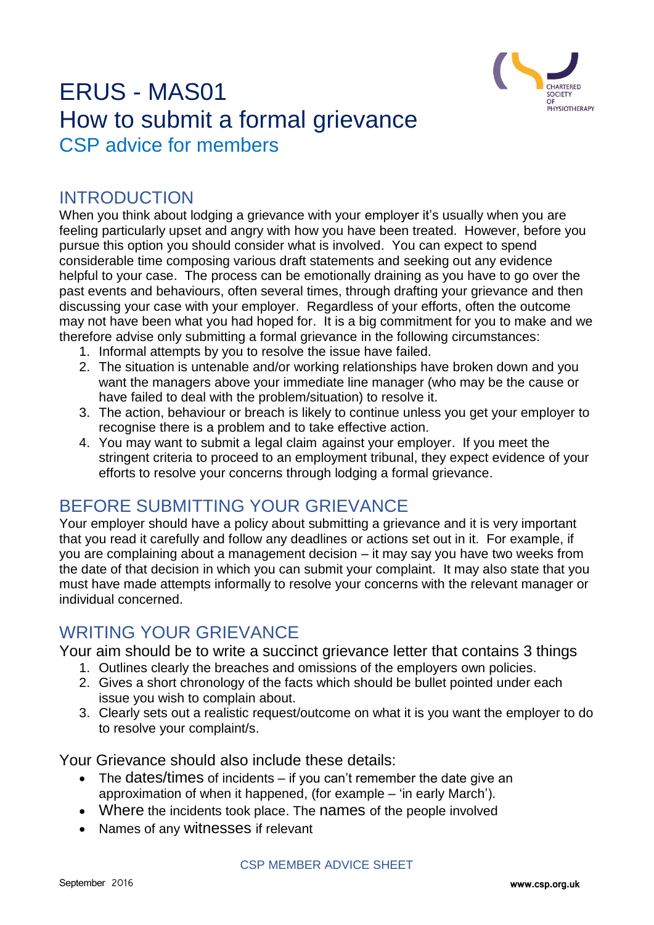

# ERUS - MAS01 How to submit a formal grievance CSP advice for members

#### INTRODUCTION

When you think about lodging a grievance with your employer it's usually when you are feeling particularly upset and angry with how you have been treated. However, before you pursue this option you should consider what is involved. You can expect to spend considerable time composing various draft statements and seeking out any evidence helpful to your case. The process can be emotionally draining as you have to go over the past events and behaviours, often several times, through drafting your grievance and then discussing your case with your employer. Regardless of your efforts, often the outcome may not have been what you had hoped for. It is a big commitment for you to make and we therefore advise only submitting a formal grievance in the following circumstances:

- 1. Informal attempts by you to resolve the issue have failed.
- 2. The situation is untenable and/or working relationships have broken down and you want the managers above your immediate line manager (who may be the cause or have failed to deal with the problem/situation) to resolve it.
- 3. The action, behaviour or breach is likely to continue unless you get your employer to recognise there is a problem and to take effective action.
- 4. You may want to submit a legal claim against your employer. If you meet the stringent criteria to proceed to an employment tribunal, they expect evidence of your efforts to resolve your concerns through lodging a formal grievance.

### BEFORE SUBMITTING YOUR GRIEVANCE

Your employer should have a policy about submitting a grievance and it is very important that you read it carefully and follow any deadlines or actions set out in it. For example, if you are complaining about a management decision – it may say you have two weeks from the date of that decision in which you can submit your complaint. It may also state that you must have made attempts informally to resolve your concerns with the relevant manager or individual concerned.

#### WRITING YOUR GRIEVANCE

Your aim should be to write a succinct grievance letter that contains 3 things

- 1. Outlines clearly the breaches and omissions of the employers own policies.
- 2. Gives a short chronology of the facts which should be bullet pointed under each issue you wish to complain about.
- 3. Clearly sets out a realistic request/outcome on what it is you want the employer to do to resolve your complaint/s.

Your Grievance should also include these details:

- $\bullet$  The dates/times of incidents if you can't remember the date give an approximation of when it happened, (for example – 'in early March').
- Where the incidents took place. The names of the people involved
- Names of any witnesses if relevant